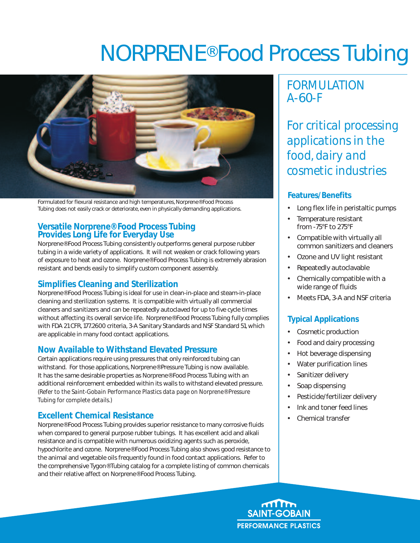# NORPRENE® Food Process Tubing



Formulated for flexural resistance and high temperatures, Norprene® Food Process Tubing does not easily crack or deteriorate, even in physically demanding applications.

# **Versatile Norprene® Food Process Tubing Provides Long Life for Everyday Use**

Norprene® Food Process Tubing consistently outperforms general purpose rubber tubing in a wide variety of applications. It will not weaken or crack following years of exposure to heat and ozone. Norprene® Food Process Tubing is extremely abrasion resistant and bends easily to simplify custom component assembly.

# **Simplifies Cleaning and Sterilization**

Norprene® Food Process Tubing is ideal for use in clean-in-place and steam-in-place cleaning and sterilization systems. It is compatible with virtually all commercial cleaners and sanitizers and can be repeatedly autoclaved for up to five cycle times without affecting its overall service life. Norprene® Food Process Tubing fully complies with FDA 21 CFR, 177.2600 criteria, 3-A Sanitary Standards and NSF Standard 51, which are applicable in many food contact applications.

## **Now Available to Withstand Elevated Pressure**

Certain applications require using pressures that only reinforced tubing can withstand. For those applications, Norprene® Pressure Tubing is now available. It has the same desirable properties as Norprene® Food Process Tubing with an additional reinforcement embedded within its walls to withstand elevated pressure. *(Refer to the Saint-Gobain Performance Plastics data page on Norprene® Pressure Tubing for complete details.)*

## **Excellent Chemical Resistance**

Norprene® Food Process Tubing provides superior resistance to many corrosive fluids when compared to general purpose rubber tubings. It has excellent acid and alkali resistance and is compatible with numerous oxidizing agents such as peroxide, hypochlorite and ozone. Norprene® Food Process Tubing also shows good resistance to the animal and vegetable oils frequently found in food contact applications. Refer to the comprehensive Tygon® Tubing catalog for a complete listing of common chemicals and their relative affect on Norprene® Food Process Tubing.

# *FORMULATION A-60-F*

*For critical processing applications in the food, dairy and cosmetic industries* 

## **Features/Benefits**

- Long flex life in peristaltic pumps
- Temperature resistant from -75°F to 275°F
- Compatible with virtually all common sanitizers and cleaners
- Ozone and UV light resistant
- Repeatedly autoclavable
- Chemically compatible with a wide range of fluids
- Meets FDA, 3-A and NSF criteria

## **Typical Applications**

- Cosmetic production
- Food and dairy processing
- Hot beverage dispensing
- Water purification lines
- Sanitizer delivery
- Soap dispensing
- Pesticide/fertilizer delivery
- Ink and toner feed lines
- Chemical transfer

<u>ന്നിന്ന</u> **SAINT-GOBAIN PERFORMANCE PLASTICS**